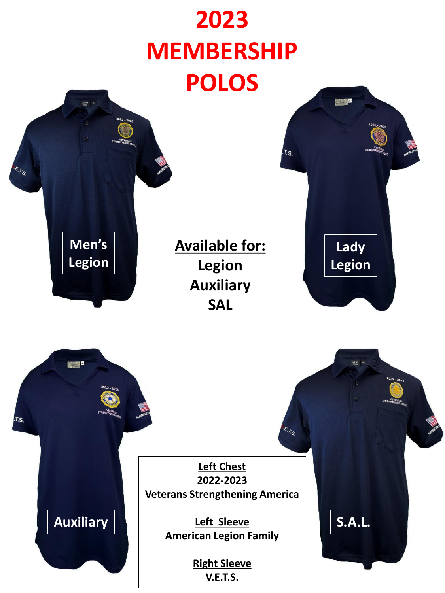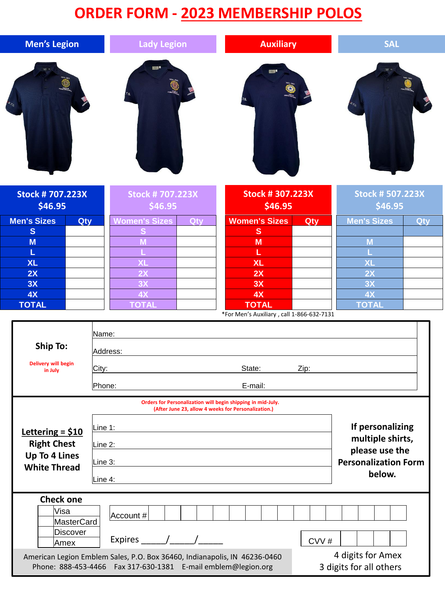## **ORDER FORM - 2023 MEMBERSHIP POLOS**

| <b>Men's Legion</b>                                                             |                                             | <b>Lady Legion</b>                                                                                                                                                       |     | <b>Auxiliary</b>                                                                                                   |      | <b>SAL</b>                                                                                      |     |
|---------------------------------------------------------------------------------|---------------------------------------------|--------------------------------------------------------------------------------------------------------------------------------------------------------------------------|-----|--------------------------------------------------------------------------------------------------------------------|------|-------------------------------------------------------------------------------------------------|-----|
|                                                                                 |                                             | <b>SIGN D</b>                                                                                                                                                            |     | <b><b> 1999年</b></b>                                                                                               |      |                                                                                                 |     |
| <b>Stock #707.223X</b>                                                          |                                             | <b>Stock #707.223X</b>                                                                                                                                                   |     | <b>Stock # 307.223X</b>                                                                                            |      | <b>Stock # 507.223X</b>                                                                         |     |
| \$46.95                                                                         |                                             | \$46.95                                                                                                                                                                  |     | \$46.95                                                                                                            |      | \$46.95                                                                                         |     |
| <b>Men's Sizes</b>                                                              | Qty                                         | <b>Women's Sizes</b>                                                                                                                                                     | Qty | <b>Women's Sizes</b>                                                                                               | Qty  | <b>Men's Sizes</b>                                                                              | Qty |
| S                                                                               |                                             |                                                                                                                                                                          |     | $\mathbf{s}$                                                                                                       |      |                                                                                                 |     |
| M<br>L                                                                          |                                             |                                                                                                                                                                          |     | M<br>L                                                                                                             |      | M                                                                                               |     |
| <b>XL</b>                                                                       |                                             | ΧL                                                                                                                                                                       |     | <b>XL</b>                                                                                                          |      | <b>XL</b>                                                                                       |     |
| 2X                                                                              |                                             | 2X                                                                                                                                                                       |     | 2X                                                                                                                 |      | 2X                                                                                              |     |
| 3X                                                                              |                                             | 3X                                                                                                                                                                       |     | 3X                                                                                                                 |      | 3X                                                                                              |     |
| 4X                                                                              |                                             | 4X                                                                                                                                                                       |     | 4X                                                                                                                 |      | 4X                                                                                              |     |
| <b>TOTAL</b>                                                                    |                                             | <b>TOTAL</b>                                                                                                                                                             |     | <b>TOTAL</b><br>*For Men's Auxiliary, call 1-866-632-7131                                                          |      | <b>TOTAL</b>                                                                                    |     |
| <b>Ship To:</b><br><b>Delivery will begin</b><br>in July                        | Name:<br>Address:<br>City:<br>Phone:        |                                                                                                                                                                          |     | State:<br>E-mail:                                                                                                  | Zip: |                                                                                                 |     |
|                                                                                 |                                             |                                                                                                                                                                          |     | Orders for Personalization will begin shipping in mid-July.<br>(After June 23, allow 4 weeks for Personalization.) |      |                                                                                                 |     |
| Lettering = $$10$<br><b>Right Chest</b><br>Up To 4 Lines<br><b>White Thread</b> | Line 1:<br>Line $2$ :<br>Line 3:<br>Line 4: |                                                                                                                                                                          |     |                                                                                                                    |      | If personalizing<br>multiple shirts,<br>please use the<br><b>Personalization Form</b><br>below. |     |
| <b>Check one</b><br>Visa<br>Amex                                                | MasterCard<br>Discover                      | Account #<br>Expires / /<br>American Legion Emblem Sales, P.O. Box 36460, Indianapolis, IN 46236-0460<br>Phone: 888-453-4466  Fax 317-630-1381  E-mail emblem@legion.org |     |                                                                                                                    | CVV# | 4 digits for Amex<br>3 digits for all others                                                    |     |